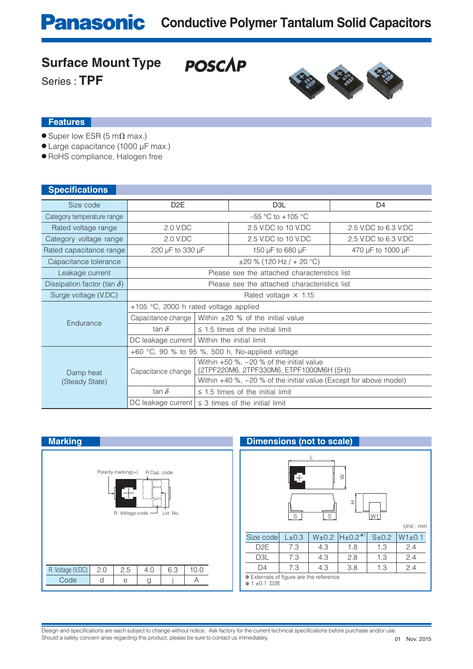**POSCAP** 

## **Surface Mount Type**

Series : **TPF**



#### **Features**

- $\bullet$  Super low ESR (5 m $\Omega$  max.)
- Large capacitance (1000 μF max.)
- RoHS compliance, Halogen free

| <b>Specifications</b>              |                                                 |                                                                                          |                                                             |                      |  |  |  |  |
|------------------------------------|-------------------------------------------------|------------------------------------------------------------------------------------------|-------------------------------------------------------------|----------------------|--|--|--|--|
| Size code                          | D <sub>2</sub> E                                |                                                                                          | D <sub>3</sub> L                                            | D <sub>4</sub>       |  |  |  |  |
| Category temperature range         |                                                 |                                                                                          | $-55$ °C to $+105$ °C                                       |                      |  |  |  |  |
| Rated voltage range                | 2.0 V.DC                                        |                                                                                          | 2.5 V.DC to 10 V.DC                                         | 2.5 V.DC to 6.3 V.DC |  |  |  |  |
| Category voltage range             | 2.0 V.DC                                        |                                                                                          | 2.5 V.DC to 10 V.DC                                         | 2.5 V.DC to 6.3 V.DC |  |  |  |  |
| Rated capacitance range            | 220 µF to 330 µF                                |                                                                                          | 150 µF to 680 µF                                            | 470 µF to 1000 µF    |  |  |  |  |
| Capacitance tolerance              | $\pm 20$ % (120 Hz / + 20 °C)                   |                                                                                          |                                                             |                      |  |  |  |  |
| Leakage current                    | Please see the attached characteristics list    |                                                                                          |                                                             |                      |  |  |  |  |
| Dissipation factor (tan $\delta$ ) | Please see the attached characteristics list    |                                                                                          |                                                             |                      |  |  |  |  |
| Surge voltage (V.DC)               | Rated voltage $\times$ 1.15                     |                                                                                          |                                                             |                      |  |  |  |  |
| Endurance                          | $+105$ °C, 2000 h rated voltage applied         |                                                                                          |                                                             |                      |  |  |  |  |
|                                    |                                                 |                                                                                          | Capacitance change   Within $\pm 20$ % of the initial value |                      |  |  |  |  |
|                                    | tan $\delta$                                    |                                                                                          | $\leq$ 1.5 times of the initial limit                       |                      |  |  |  |  |
|                                    |                                                 | DC leakage current   Within the initial limit                                            |                                                             |                      |  |  |  |  |
| Damp heat<br>(Steady State)        | +60 °C, 90 % to 95 %, 500 h, No-applied voltage |                                                                                          |                                                             |                      |  |  |  |  |
|                                    | Capacitance change                              | Within $+50$ %, $-20$ % of the initial value<br>(2TPF220M6, 2TPF330M6, ETPF1000M6H (5H)) |                                                             |                      |  |  |  |  |
|                                    |                                                 | Within $+40$ %, $-20$ % of the initial value (Except for above model)                    |                                                             |                      |  |  |  |  |
|                                    | tan $\delta$                                    |                                                                                          | $\leq$ 1.5 times of the initial limit                       |                      |  |  |  |  |
|                                    |                                                 | DC leakage current $\leq$ 3 times of the initial limit                                   |                                                             |                      |  |  |  |  |

| <b>Marking</b>                                                                                   | <b>Dimensions (not to scale)</b>                                      |  |  |  |  |  |  |
|--------------------------------------------------------------------------------------------------|-----------------------------------------------------------------------|--|--|--|--|--|--|
| Polarity marking $(+)$<br>R.Cap. code<br>×<br>(boo)<br>المسومات<br>R. Voltage code -<br>Lot. No. | Ð<br>$\geq$<br>I<br>$S_{\cdot}$<br>$S_{-}$<br>W1<br>Unit:             |  |  |  |  |  |  |
|                                                                                                  | $H_{\pm}0.2**1$<br>Size code<br>$W1 \pm 0$<br>L±0.3<br>W±0.2<br>S±0.2 |  |  |  |  |  |  |
|                                                                                                  | D <sub>2</sub> E<br>7.3<br>1.3<br>2.4<br>4.3<br>1.8                   |  |  |  |  |  |  |
|                                                                                                  | 2.4<br>D <sub>3</sub> L<br>7.3<br>4.3<br>2.8<br>1.3                   |  |  |  |  |  |  |
| R. Voltage (V.DC)<br>10.0<br>2.5<br>6.3<br>2.0<br>4.0                                            | 2.4<br>7.3<br>3.8<br>4.3<br>1.3<br>D <sub>4</sub>                     |  |  |  |  |  |  |
| Code<br>d<br>A<br>e<br>g                                                                         | * Externals of figure are the reference.<br>* 1±0.1 :D2E              |  |  |  |  |  |  |

## L  $\geq$ S W1 HS Size code L±0.3 | W±0.2  $|H_{\pm}0.2^{*1}|$  S±0.2  $|W1_{\pm}0.1|$ D2E | 7.3 | 4.3 | 1.8 | 1.3 | 2.4 D3L 7.3 4.3 2.8 1.3 2.4 Unit : mm **Externals of figure are the reference.** ✽ 1 ±0.1 :D2E **Dimensions (not to scale)**